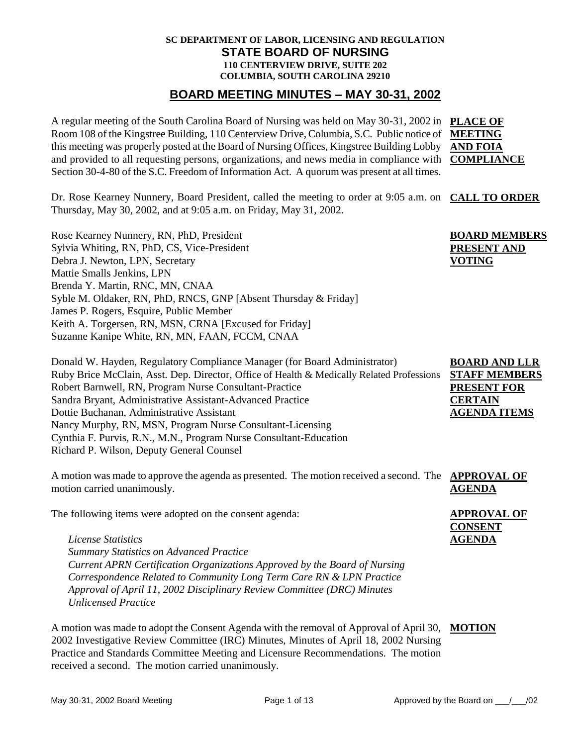#### **SC DEPARTMENT OF LABOR, LICENSING AND REGULATION STATE BOARD OF NURSING 110 CENTERVIEW DRIVE, SUITE 202 COLUMBIA, SOUTH CAROLINA 29210**

### **BOARD MEETING MINUTES – MAY 30-31, 2002**

A regular meeting of the South Carolina Board of Nursing was held on May 30-31, 2002 in **PLACE OF**  Room 108 of the Kingstree Building, 110 Centerview Drive, Columbia, S.C. Public notice of **MEETING**  this meeting was properly posted at the Board of Nursing Offices, Kingstree Building Lobby **AND FOIA**  and provided to all requesting persons, organizations, and news media in compliance with **COMPLIANCE** Section 30-4-80 of the S.C. Freedom of Information Act. A quorum was present at all times.

**BOARD MEMBERS PRESENT AND** 

**VOTING**

Dr. Rose Kearney Nunnery, Board President, called the meeting to order at 9:05 a.m. on **CALL TO ORDER** Thursday, May 30, 2002, and at 9:05 a.m. on Friday, May 31, 2002.

Rose Kearney Nunnery, RN, PhD, President Sylvia Whiting, RN, PhD, CS, Vice-President Debra J. Newton, LPN, Secretary Mattie Smalls Jenkins, LPN Brenda Y. Martin, RNC, MN, CNAA Syble M. Oldaker, RN, PhD, RNCS, GNP [Absent Thursday & Friday] James P. Rogers, Esquire, Public Member Keith A. Torgersen, RN, MSN, CRNA [Excused for Friday] Suzanne Kanipe White, RN, MN, FAAN, FCCM, CNAA

Donald W. Hayden, Regulatory Compliance Manager (for Board Administrator) Ruby Brice McClain, Asst. Dep. Director, Office of Health & Medically Related Professions Robert Barnwell, RN, Program Nurse Consultant-Practice Sandra Bryant, Administrative Assistant-Advanced Practice Dottie Buchanan, Administrative Assistant Nancy Murphy, RN, MSN, Program Nurse Consultant-Licensing Cynthia F. Purvis, R.N., M.N., Program Nurse Consultant-Education Richard P. Wilson, Deputy General Counsel **BOARD AND LLR STAFF MEMBERS PRESENT FOR CERTAIN AGENDA ITEMS**

A motion was made to approve the agenda as presented. The motion received a second. The **APPROVAL OF**  motion carried unanimously. **AGENDA**

The following items were adopted on the consent agenda:

*License Statistics Summary Statistics on Advanced Practice Current APRN Certification Organizations Approved by the Board of Nursing Correspondence Related to Community Long Term Care RN & LPN Practice Approval of April 11, 2002 Disciplinary Review Committee (DRC) Minutes Unlicensed Practice*

A motion was made to adopt the Consent Agenda with the removal of Approval of April 30, **MOTION**2002 Investigative Review Committee (IRC) Minutes, Minutes of April 18, 2002 Nursing Practice and Standards Committee Meeting and Licensure Recommendations. The motion received a second. The motion carried unanimously.

**APPROVAL OF CONSENT AGENDA**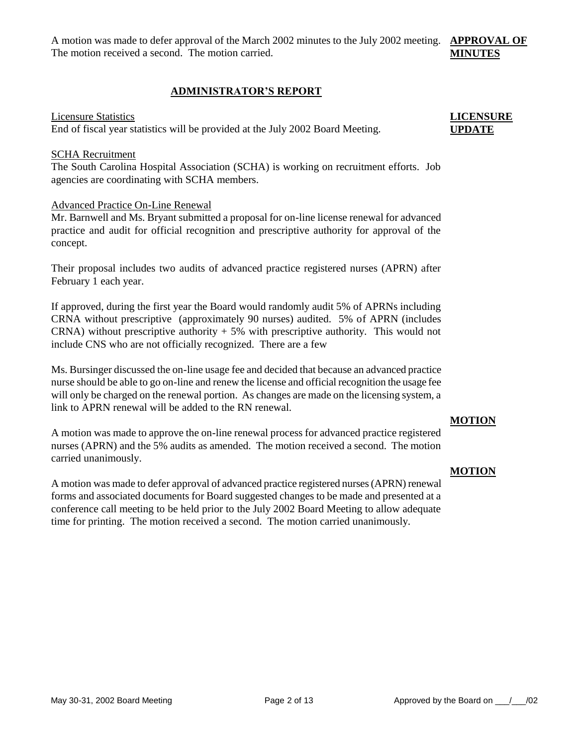A motion was made to defer approval of the March 2002 minutes to the July 2002 meeting. **APPROVAL OF**  The motion received a second. The motion carried. **MINUTES**

#### **ADMINISTRATOR'S REPORT**

#### Licensure Statistics

End of fiscal year statistics will be provided at the July 2002 Board Meeting.

#### SCHA Recruitment

The South Carolina Hospital Association (SCHA) is working on recruitment efforts. Job agencies are coordinating with SCHA members.

#### Advanced Practice On-Line Renewal

Mr. Barnwell and Ms. Bryant submitted a proposal for on-line license renewal for advanced practice and audit for official recognition and prescriptive authority for approval of the concept.

Their proposal includes two audits of advanced practice registered nurses (APRN) after February 1 each year.

If approved, during the first year the Board would randomly audit 5% of APRNs including CRNA without prescriptive (approximately 90 nurses) audited. 5% of APRN (includes CRNA) without prescriptive authority  $+5\%$  with prescriptive authority. This would not include CNS who are not officially recognized. There are a few

Ms. Bursinger discussed the on-line usage fee and decided that because an advanced practice nurse should be able to go on-line and renew the license and official recognition the usage fee will only be charged on the renewal portion. As changes are made on the licensing system, a link to APRN renewal will be added to the RN renewal.

#### **MOTION**

A motion was made to approve the on-line renewal process for advanced practice registered nurses (APRN) and the 5% audits as amended. The motion received a second. The motion carried unanimously.

A motion was made to defer approval of advanced practice registered nurses (APRN) renewal forms and associated documents for Board suggested changes to be made and presented at a conference call meeting to be held prior to the July 2002 Board Meeting to allow adequate time for printing. The motion received a second. The motion carried unanimously.

#### **MOTION**

# **LICENSURE UPDATE**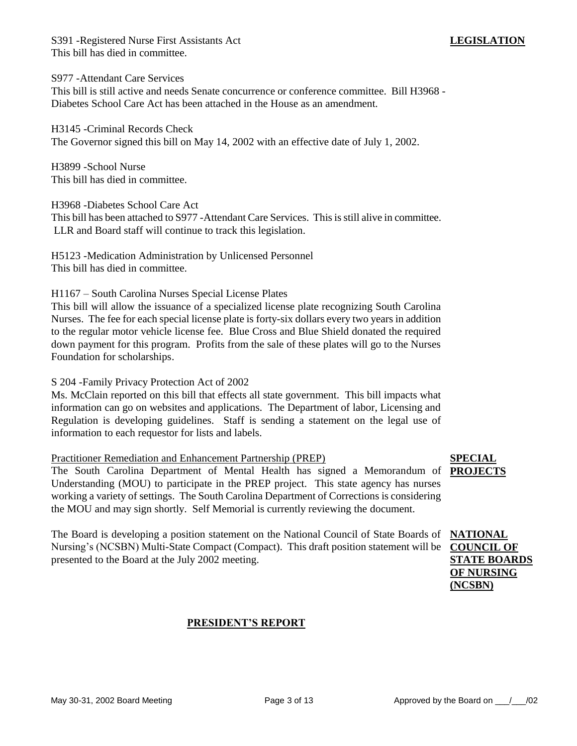S391 -Registered Nurse First Assistants Act This bill has died in committee.

S977 -Attendant Care Services

This bill is still active and needs Senate concurrence or conference committee. Bill H3968 - Diabetes School Care Act has been attached in the House as an amendment.

H3145 -Criminal Records Check The Governor signed this bill on May 14, 2002 with an effective date of July 1, 2002.

H3899 -School Nurse This bill has died in committee.

H3968 -Diabetes School Care Act

This bill has been attached to S977 -Attendant Care Services. This is still alive in committee. LLR and Board staff will continue to track this legislation.

H5123 -Medication Administration by Unlicensed Personnel This bill has died in committee.

H1167 – South Carolina Nurses Special License Plates

This bill will allow the issuance of a specialized license plate recognizing South Carolina Nurses. The fee for each special license plate is forty-six dollars every two years in addition to the regular motor vehicle license fee. Blue Cross and Blue Shield donated the required down payment for this program. Profits from the sale of these plates will go to the Nurses Foundation for scholarships.

S 204 -Family Privacy Protection Act of 2002

Ms. McClain reported on this bill that effects all state government. This bill impacts what information can go on websites and applications. The Department of labor, Licensing and Regulation is developing guidelines. Staff is sending a statement on the legal use of information to each requestor for lists and labels.

### Practitioner Remediation and Enhancement Partnership (PREP)

The South Carolina Department of Mental Health has signed a Memorandum of **PROJECTS** Understanding (MOU) to participate in the PREP project. This state agency has nurses working a variety of settings. The South Carolina Department of Corrections is considering the MOU and may sign shortly. Self Memorial is currently reviewing the document.

The Board is developing a position statement on the National Council of State Boards of Nursing's (NCSBN) Multi-State Compact (Compact). This draft position statement will be **COUNCIL OF**  presented to the Board at the July 2002 meeting.

### **PRESIDENT'S REPORT**

# **SPECIAL**

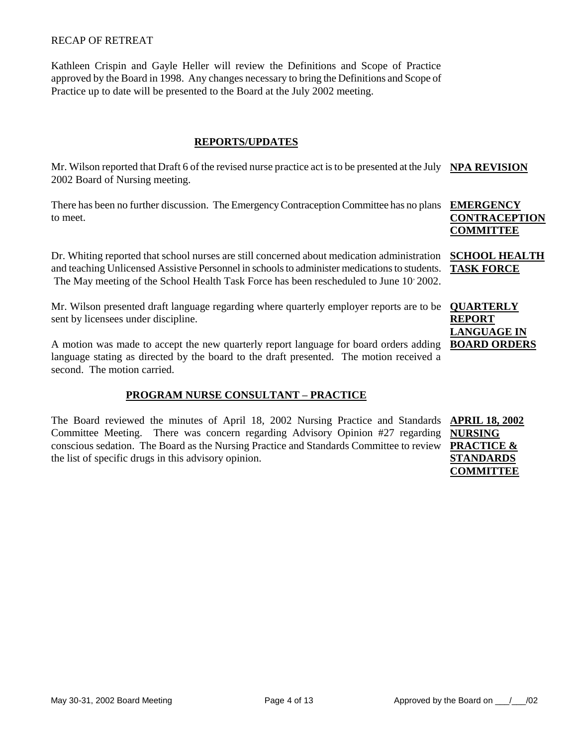#### RECAP OF RETREAT

Kathleen Crispin and Gayle Heller will review the Definitions and Scope of Practice approved by the Board in 1998. Any changes necessary to bring the Definitions and Scope of Practice up to date will be presented to the Board at the July 2002 meeting.

#### **REPORTS/UPDATES**

Mr. Wilson reported that Draft 6 of the revised nurse practice act is to be presented at the July **NPA REVISION** 2002 Board of Nursing meeting.

There has been no further discussion. The Emergency Contraception Committee has no plans **EMERGENCY**  to meet.

Dr. Whiting reported that school nurses are still concerned about medication administration **SCHOOL HEALTH**  and teaching Unlicensed Assistive Personnel in schools to administer medications to students. The May meeting of the School Health Task Force has been rescheduled to June 10 2002.

Mr. Wilson presented draft language regarding where quarterly employer reports are to be **QUARTERLY**  sent by licensees under discipline.

A motion was made to accept the new quarterly report language for board orders adding **BOARD ORDERS** language stating as directed by the board to the draft presented. The motion received a second. The motion carried.

#### **PROGRAM NURSE CONSULTANT – PRACTICE**

The Board reviewed the minutes of April 18, 2002 Nursing Practice and Standards Committee Meeting. There was concern regarding Advisory Opinion #27 regarding conscious sedation. The Board as the Nursing Practice and Standards Committee to review the list of specific drugs in this advisory opinion.

**CONTRACEPTION COMMITTEE**

**TASK FORCE**

**REPORT LANGUAGE IN** 

**APRIL 18, 2002 NURSING PRACTICE & STANDARDS COMMITTEE**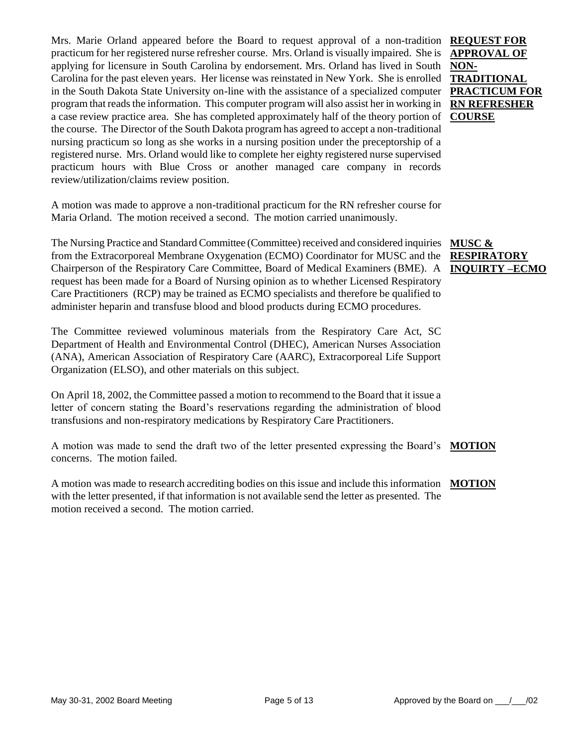Mrs. Marie Orland appeared before the Board to request approval of a non-tradition **REQUEST FOR**  practicum for her registered nurse refresher course. Mrs. Orland is visually impaired. She is applying for licensure in South Carolina by endorsement. Mrs. Orland has lived in South Carolina for the past eleven years. Her license was reinstated in New York. She is enrolled in the South Dakota State University on-line with the assistance of a specialized computer program that reads the information. This computer program will also assist her in working in a case review practice area. She has completed approximately half of the theory portion of the course. The Director of the South Dakota program has agreed to accept a non-traditional nursing practicum so long as she works in a nursing position under the preceptorship of a registered nurse. Mrs. Orland would like to complete her eighty registered nurse supervised practicum hours with Blue Cross or another managed care company in records review/utilization/claims review position.

A motion was made to approve a non-traditional practicum for the RN refresher course for Maria Orland. The motion received a second. The motion carried unanimously.

The Nursing Practice and Standard Committee (Committee) received and considered inquiries from the Extracorporeal Membrane Oxygenation (ECMO) Coordinator for MUSC and the Chairperson of the Respiratory Care Committee, Board of Medical Examiners (BME). A request has been made for a Board of Nursing opinion as to whether Licensed Respiratory Care Practitioners (RCP) may be trained as ECMO specialists and therefore be qualified to administer heparin and transfuse blood and blood products during ECMO procedures.

The Committee reviewed voluminous materials from the Respiratory Care Act, SC Department of Health and Environmental Control (DHEC), American Nurses Association (ANA), American Association of Respiratory Care (AARC), Extracorporeal Life Support Organization (ELSO), and other materials on this subject.

On April 18, 2002, the Committee passed a motion to recommend to the Board that it issue a letter of concern stating the Board's reservations regarding the administration of blood transfusions and non-respiratory medications by Respiratory Care Practitioners.

A motion was made to send the draft two of the letter presented expressing the Board's **MOTION** concerns. The motion failed.

A motion was made to research accrediting bodies on this issue and include this information **MOTION**with the letter presented, if that information is not available send the letter as presented. The motion received a second. The motion carried.

**APPROVAL OF NON-TRADITIONAL PRACTICUM FOR RN REFRESHER COURSE**

**MUSC & RESPIRATORY INQUIRTY –ECMO**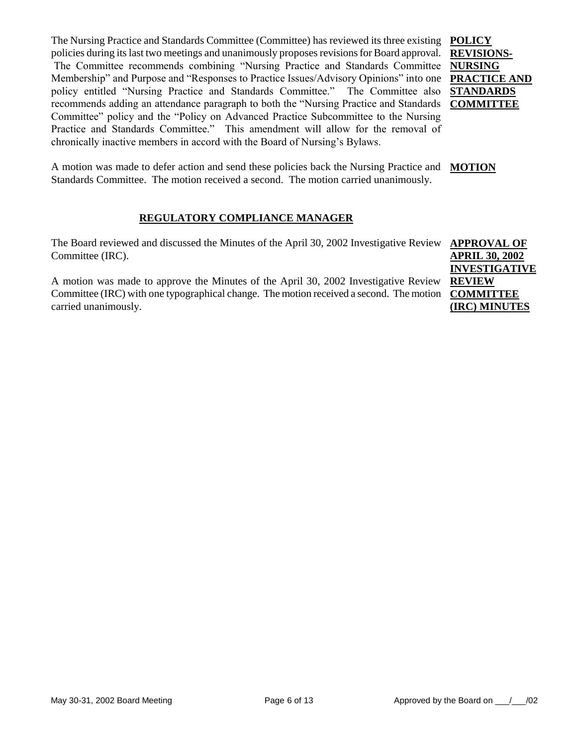The Nursing Practice and Standards Committee (Committee) has reviewed its three existing **POLICY** policies during its last two meetings and unanimously proposes revisions for Board approval. The Committee recommends combining "Nursing Practice and Standards Committee **NURSING**  Membership" and Purpose and "Responses to Practice Issues/Advisory Opinions" into one **PRACTICE AND** policy entitled "Nursing Practice and Standards Committee." The Committee also recommends adding an attendance paragraph to both the "Nursing Practice and Standards **COMMITTEE** Committee" policy and the "Policy on Advanced Practice Subcommittee to the Nursing Practice and Standards Committee." This amendment will allow for the removal of chronically inactive members in accord with the Board of Nursing's Bylaws.

**REVISIONS-STANDARDS** 

A motion was made to defer action and send these policies back the Nursing Practice and **MOTION** Standards Committee. The motion received a second. The motion carried unanimously.

### **REGULATORY COMPLIANCE MANAGER**

The Board reviewed and discussed the Minutes of the April 30, 2002 Investigative Review **APPROVAL OF** Committee (IRC).

A motion was made to approve the Minutes of the April 30, 2002 Investigative Review Committee (IRC) with one typographical change. The motion received a second. The motion **COMMITTEE**  carried unanimously.

**APRIL 30, 2002 INVESTIGATIVE REVIEW (IRC) MINUTES**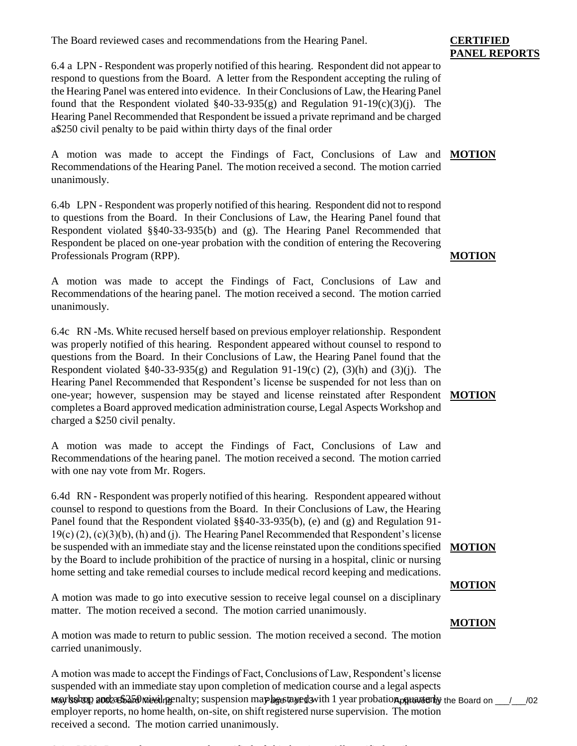The Board reviewed cases and recommendations from the Hearing Panel.

6.4 a LPN - Respondent was properly notified of this hearing. Respondent did not appear to respond to questions from the Board. A letter from the Respondent accepting the ruling of the Hearing Panel was entered into evidence. In their Conclusions of Law, the Hearing Panel found that the Respondent violated  $§40-33-935(g)$  and Regulation 91-19(c)(3)(j). The Hearing Panel Recommended that Respondent be issued a private reprimand and be charged a\$250 civil penalty to be paid within thirty days of the final order

A motion was made to accept the Findings of Fact, Conclusions of Law and **MOTION** Recommendations of the Hearing Panel. The motion received a second. The motion carried unanimously.

6.4b LPN - Respondent was properly notified of this hearing. Respondent did not to respond to questions from the Board. In their Conclusions of Law, the Hearing Panel found that Respondent violated §§40-33-935(b) and (g). The Hearing Panel Recommended that Respondent be placed on one-year probation with the condition of entering the Recovering Professionals Program (RPP).

A motion was made to accept the Findings of Fact, Conclusions of Law and Recommendations of the hearing panel. The motion received a second. The motion carried unanimously.

6.4c RN -Ms. White recused herself based on previous employer relationship. Respondent was properly notified of this hearing. Respondent appeared without counsel to respond to questions from the Board. In their Conclusions of Law, the Hearing Panel found that the Respondent violated §40-33-935(g) and Regulation 91-19(c) (2), (3)(h) and (3)(j). The Hearing Panel Recommended that Respondent's license be suspended for not less than on one-year; however, suspension may be stayed and license reinstated after Respondent **MOTION** completes a Board approved medication administration course, Legal Aspects Workshop and charged a \$250 civil penalty.

A motion was made to accept the Findings of Fact, Conclusions of Law and Recommendations of the hearing panel. The motion received a second. The motion carried with one nay vote from Mr. Rogers.

6.4d RN - Respondent was properly notified of this hearing. Respondent appeared without counsel to respond to questions from the Board. In their Conclusions of Law, the Hearing Panel found that the Respondent violated §§40-33-935(b), (e) and (g) and Regulation 91- 19(c) (2), (c)(3)(b), (h) and (j). The Hearing Panel Recommended that Respondent's license be suspended with an immediate stay and the license reinstated upon the conditions specified **MOTION** by the Board to include prohibition of the practice of nursing in a hospital, clinic or nursing home setting and take remedial courses to include medical record keeping and medications.

A motion was made to go into executive session to receive legal counsel on a disciplinary matter. The motion received a second. The motion carried unanimously.

A motion was made to return to public session. The motion received a second. The motion carried unanimously.

May soloop and a Safe Meeting enalty; suspension may be a taged with 1 year probation, put we all the Board on \_\_\_/\_\_\_/02 A motion was made to accept the Findings of Fact, Conclusions of Law, Respondent's license suspended with an immediate stay upon completion of medication course and a legal aspects employer reports, no home health, on-site, on shift registered nurse supervision. The motion received a second. The motion carried unanimously.

#### 6.4e LPN -Respondent was properly notified of this hearing. All certified mail sent to

### **CERTIFIED PANEL REPORTS**

#### **MOTION**

# **MOTION**

# **MOTION**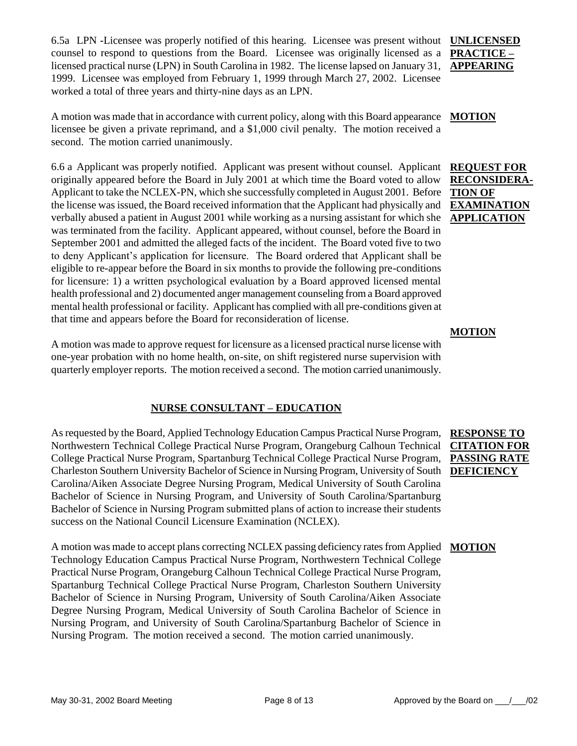6.5a LPN -Licensee was properly notified of this hearing. Licensee was present without **UNLICENSED**  counsel to respond to questions from the Board. Licensee was originally licensed as a licensed practical nurse (LPN) in South Carolina in 1982. The license lapsed on January 31, 1999. Licensee was employed from February 1, 1999 through March 27, 2002. Licensee worked a total of three years and thirty-nine days as an LPN.

A motion was made that in accordance with current policy, along with this Board appearance **MOTION** licensee be given a private reprimand, and a \$1,000 civil penalty. The motion received a second. The motion carried unanimously.

6.6 a Applicant was properly notified. Applicant was present without counsel. Applicant originally appeared before the Board in July 2001 at which time the Board voted to allow Applicant to take the NCLEX-PN, which she successfully completed in August 2001. Before the license was issued, the Board received information that the Applicant had physically and verbally abused a patient in August 2001 while working as a nursing assistant for which she was terminated from the facility. Applicant appeared, without counsel, before the Board in September 2001 and admitted the alleged facts of the incident. The Board voted five to two to deny Applicant's application for licensure. The Board ordered that Applicant shall be eligible to re-appear before the Board in six months to provide the following pre-conditions for licensure: 1) a written psychological evaluation by a Board approved licensed mental health professional and 2) documented anger management counseling from a Board approved mental health professional or facility. Applicant has complied with all pre-conditions given at that time and appears before the Board for reconsideration of license.

A motion was made to approve request for licensure as a licensed practical nurse license with one-year probation with no home health, on-site, on shift registered nurse supervision with quarterly employer reports. The motion received a second. The motion carried unanimously.

### **NURSE CONSULTANT – EDUCATION**

As requested by the Board, Applied Technology Education Campus Practical Nurse Program, Northwestern Technical College Practical Nurse Program, Orangeburg Calhoun Technical College Practical Nurse Program, Spartanburg Technical College Practical Nurse Program, Charleston Southern University Bachelor of Science in Nursing Program, University of South **DEFICIENCY** Carolina/Aiken Associate Degree Nursing Program, Medical University of South Carolina Bachelor of Science in Nursing Program, and University of South Carolina/Spartanburg Bachelor of Science in Nursing Program submitted plans of action to increase their students success on the National Council Licensure Examination (NCLEX).

A motion was made to accept plans correcting NCLEX passing deficiency rates from Applied **MOTION**Technology Education Campus Practical Nurse Program, Northwestern Technical College Practical Nurse Program, Orangeburg Calhoun Technical College Practical Nurse Program, Spartanburg Technical College Practical Nurse Program, Charleston Southern University Bachelor of Science in Nursing Program, University of South Carolina/Aiken Associate Degree Nursing Program, Medical University of South Carolina Bachelor of Science in Nursing Program, and University of South Carolina/Spartanburg Bachelor of Science in Nursing Program. The motion received a second. The motion carried unanimously.

# **PRACTICE – APPEARING**

### **REQUEST FOR RECONSIDERA-TION OF EXAMINATION APPLICATION**

#### **MOTION**

# **RESPONSE TO CITATION FOR PASSING RATE**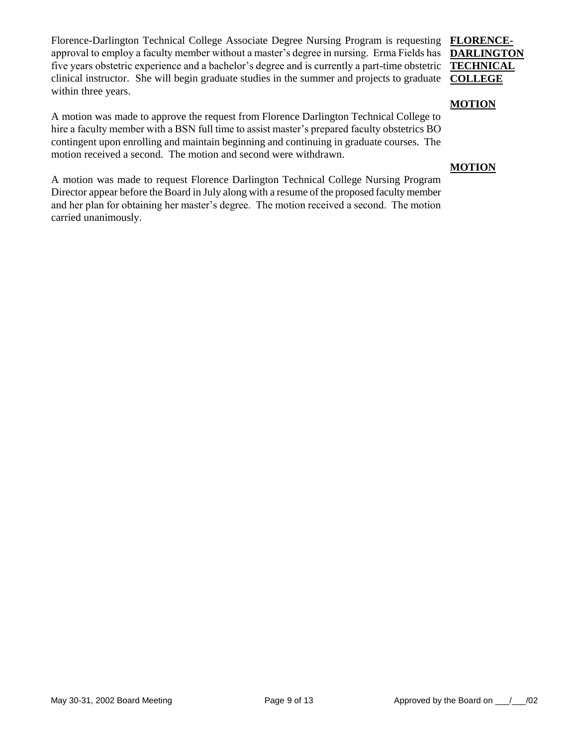Florence-Darlington Technical College Associate Degree Nursing Program is requesting **FLORENCE**approval to employ a faculty member without a master's degree in nursing. Erma Fields has five years obstetric experience and a bachelor's degree and is currently a part-time obstetric clinical instructor. She will begin graduate studies in the summer and projects to graduate **COLLEGE** within three years.

# **DARLINGTON TECHNICAL**

#### **MOTION**

A motion was made to approve the request from Florence Darlington Technical College to hire a faculty member with a BSN full time to assist master's prepared faculty obstetrics BO contingent upon enrolling and maintain beginning and continuing in graduate courses. The motion received a second. The motion and second were withdrawn.

#### **MOTION**

A motion was made to request Florence Darlington Technical College Nursing Program Director appear before the Board in July along with a resume of the proposed faculty member and her plan for obtaining her master's degree. The motion received a second. The motion carried unanimously.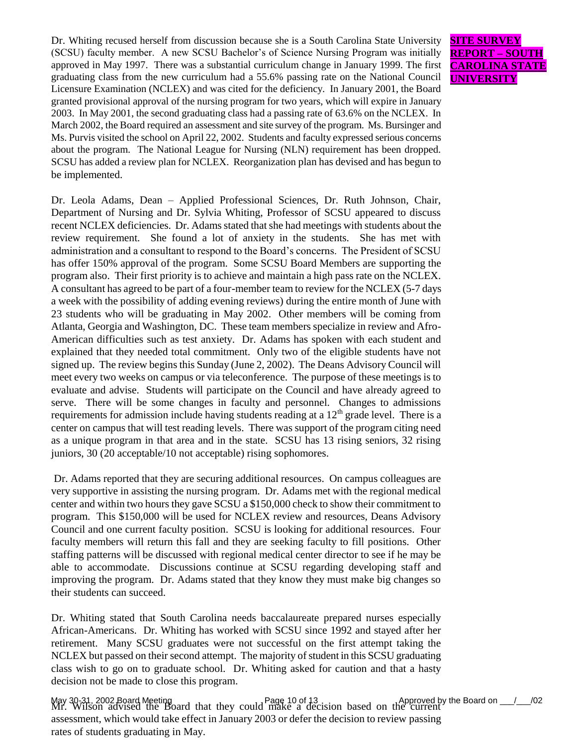Dr. Whiting recused herself from discussion because she is a South Carolina State University (SCSU) faculty member. A new SCSU Bachelor's of Science Nursing Program was initially approved in May 1997. There was a substantial curriculum change in January 1999. The first graduating class from the new curriculum had a 55.6% passing rate on the National Council Licensure Examination (NCLEX) and was cited for the deficiency. In January 2001, the Board granted provisional approval of the nursing program for two years, which will expire in January 2003. In May 2001, the second graduating class had a passing rate of 63.6% on the NCLEX. In March 2002, the Board required an assessment and site survey of the program. Ms. Bursinger and Ms. Purvis visited the school on April 22, 2002. Students and faculty expressed serious concerns about the program. The National League for Nursing (NLN) requirement has been dropped. SCSU has added a review plan for NCLEX. Reorganization plan has devised and has begun to be implemented.

Dr. Leola Adams, Dean – Applied Professional Sciences, Dr. Ruth Johnson, Chair, Department of Nursing and Dr. Sylvia Whiting, Professor of SCSU appeared to discuss recent NCLEX deficiencies. Dr. Adams stated that she had meetings with students about the review requirement. She found a lot of anxiety in the students. She has met with administration and a consultant to respond to the Board's concerns. The President of SCSU has offer 150% approval of the program. Some SCSU Board Members are supporting the program also. Their first priority is to achieve and maintain a high pass rate on the NCLEX. A consultant has agreed to be part of a four-member team to review for the NCLEX (5-7 days a week with the possibility of adding evening reviews) during the entire month of June with 23 students who will be graduating in May 2002. Other members will be coming from Atlanta, Georgia and Washington, DC. These team members specialize in review and Afro-American difficulties such as test anxiety. Dr. Adams has spoken with each student and explained that they needed total commitment. Only two of the eligible students have not signed up. The review begins this Sunday (June 2, 2002). The Deans Advisory Council will meet every two weeks on campus or via teleconference. The purpose of these meetings is to evaluate and advise. Students will participate on the Council and have already agreed to serve. There will be some changes in faculty and personnel. Changes to admissions requirements for admission include having students reading at a  $12<sup>th</sup>$  grade level. There is a center on campus that will test reading levels. There was support of the program citing need as a unique program in that area and in the state. SCSU has 13 rising seniors, 32 rising juniors, 30 (20 acceptable/10 not acceptable) rising sophomores.

Dr. Adams reported that they are securing additional resources. On campus colleagues are very supportive in assisting the nursing program. Dr. Adams met with the regional medical center and within two hours they gave SCSU a \$150,000 check to show their commitment to program. This \$150,000 will be used for NCLEX review and resources, Deans Advisory Council and one current faculty position. SCSU is looking for additional resources. Four faculty members will return this fall and they are seeking faculty to fill positions. Other staffing patterns will be discussed with regional medical center director to see if he may be able to accommodate. Discussions continue at SCSU regarding developing staff and improving the program. Dr. Adams stated that they know they must make big changes so their students can succeed.

Dr. Whiting stated that South Carolina needs baccalaureate prepared nurses especially African-Americans. Dr. Whiting has worked with SCSU since 1992 and stayed after her retirement. Many SCSU graduates were not successful on the first attempt taking the NCLEX but passed on their second attempt. The majority of student in this SCSU graduating class wish to go on to graduate school. Dr. Whiting asked for caution and that a hasty decision not be made to close this program.

May 30-31, 2002 Board Meeting Page 10 of 13. Approved by the Board on \_\_\_/\_\_\_/02<br>Mr. Wilson advised the Board that they could make a decision based on the current assessment, which would take effect in January 2003 or defer the decision to review passing rates of students graduating in May.

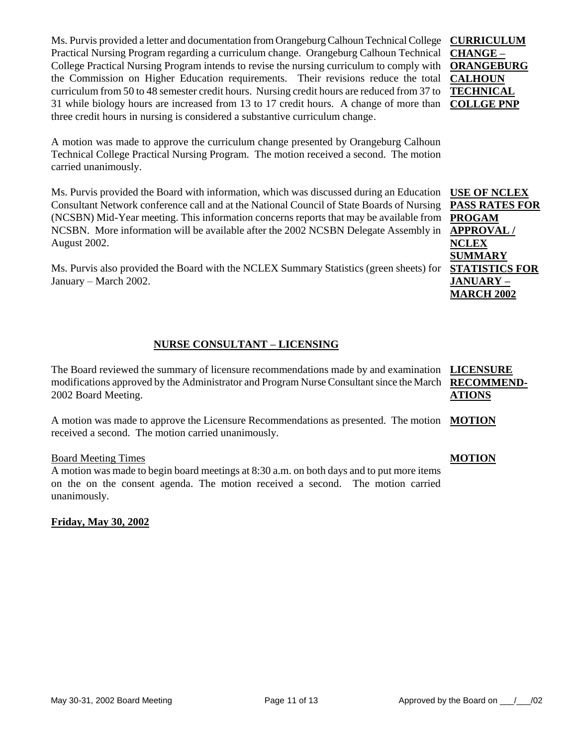Ms. Purvis provided a letter and documentation from Orangeburg Calhoun Technical College **CURRICULUM**  Practical Nursing Program regarding a curriculum change. Orangeburg Calhoun Technical College Practical Nursing Program intends to revise the nursing curriculum to comply with **ORANGEBURG**  the Commission on Higher Education requirements. Their revisions reduce the total **CALHOUN**  curriculum from 50 to 48 semester credit hours. Nursing credit hours are reduced from 37 to 31 while biology hours are increased from 13 to 17 credit hours. A change of more than **COLLGE PNP** three credit hours in nursing is considered a substantive curriculum change.

A motion was made to approve the curriculum change presented by Orangeburg Calhoun Technical College Practical Nursing Program. The motion received a second. The motion carried unanimously.

Ms. Purvis provided the Board with information, which was discussed during an Education Consultant Network conference call and at the National Council of State Boards of Nursing (NCSBN) Mid-Year meeting. This information concerns reports that may be available from NCSBN. More information will be available after the 2002 NCSBN Delegate Assembly in August 2002.

Ms. Purvis also provided the Board with the NCLEX Summary Statistics (green sheets) for January – March 2002.

### **NURSE CONSULTANT – LICENSING**

The Board reviewed the summary of licensure recommendations made by and examination **LICENSURE**  modifications approved by the Administrator and Program Nurse Consultant since the March **RECOMMEND-**2002 Board Meeting. **ATIONS**

A motion was made to approve the Licensure Recommendations as presented. The motion **MOTION** received a second. The motion carried unanimously.

#### Board Meeting Times

A motion was made to begin board meetings at 8:30 a.m. on both days and to put more items on the on the consent agenda. The motion received a second. The motion carried unanimously.

**Friday, May 30, 2002**

**CHANGE – TECHNICAL** 

**USE OF NCLEX PASS RATES FOR PROGAM APPROVAL / NCLEX SUMMARY STATISTICS FOR JANUARY – MARCH 2002**

#### **MOTION**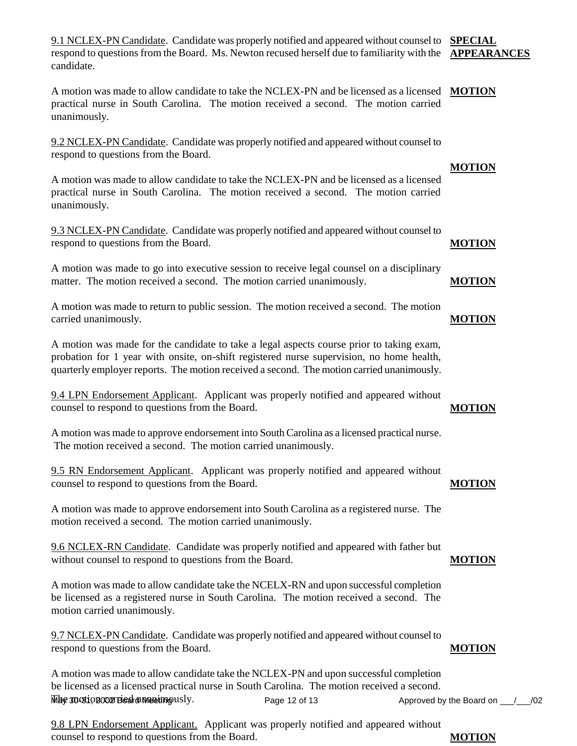9.1 NCLEX-PN Candidate. Candidate was properly notified and appeared without counsel to **SPECIAL**  respond to questions from the Board. Ms. Newton recused herself due to familiarity with the **APPEARANCES** candidate.

A motion was made to allow candidate to take the NCLEX-PN and be licensed as a licensed **MOTION** practical nurse in South Carolina. The motion received a second. The motion carried unanimously.

9.2 NCLEX-PN Candidate. Candidate was properly notified and appeared without counsel to respond to questions from the Board.

A motion was made to allow candidate to take the NCLEX-PN and be licensed as a licensed practical nurse in South Carolina. The motion received a second. The motion carried unanimously.

9.3 NCLEX-PN Candidate. Candidate was properly notified and appeared without counsel to respond to questions from the Board.

A motion was made to go into executive session to receive legal counsel on a disciplinary matter. The motion received a second. The motion carried unanimously.

A motion was made to return to public session. The motion received a second. The motion carried unanimously. **MOTION**

A motion was made for the candidate to take a legal aspects course prior to taking exam, probation for 1 year with onsite, on-shift registered nurse supervision, no home health, quarterly employer reports. The motion received a second. The motion carried unanimously.

9.4 LPN Endorsement Applicant. Applicant was properly notified and appeared without counsel to respond to questions from the Board.

A motion was made to approve endorsement into South Carolina as a licensed practical nurse. The motion received a second. The motion carried unanimously.

9.5 RN Endorsement Applicant. Applicant was properly notified and appeared without counsel to respond to questions from the Board. **MOTION**

A motion was made to approve endorsement into South Carolina as a registered nurse. The motion received a second. The motion carried unanimously.

9.6 NCLEX-RN Candidate. Candidate was properly notified and appeared with father but without counsel to respond to questions from the Board.

A motion was made to allow candidate take the NCELX-RN and upon successful completion be licensed as a registered nurse in South Carolina. The motion received a second. The motion carried unanimously.

9.7 NCLEX-PN Candidate. Candidate was properly notified and appeared without counsel to respond to questions from the Board.

Page 12 of 13 Approved by the Board on  $\frac{1}{2}$  /02 A motion was made to allow candidate take the NCLEX-PN and upon successful completion be licensed as a licensed practical nurse in South Carolina. The motion received a second. Whe motion complete unanimously.

9.8 LPN Endorsement Applicant. Applicant was properly notified and appeared without counsel to respond to questions from the Board.

## **MOTION**

**MOTION**

**MOTION**

**MOTION**

#### **MOTION**

#### **MOTION**

**MOTION**